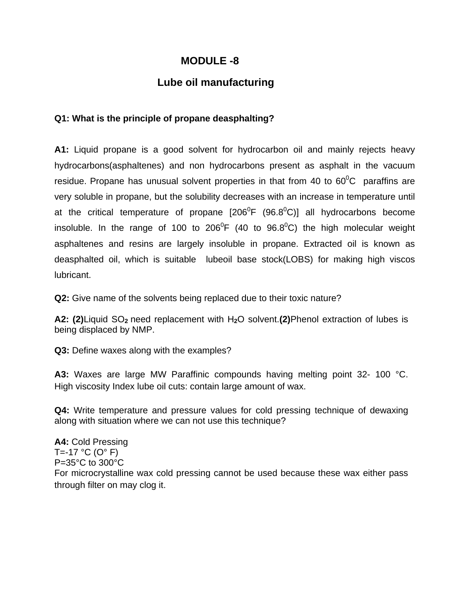## **MODULE -8**

## **Lube oil manufacturing**

## **Q1: What is the principle of propane deasphalting?**

**A1:** Liquid propane is a good solvent for hydrocarbon oil and mainly rejects heavy hydrocarbons(asphaltenes) and non hydrocarbons present as asphalt in the vacuum residue. Propane has unusual solvent properties in that from 40 to  $60^{\circ}$ C paraffins are very soluble in propane, but the solubility decreases with an increase in temperature until at the critical temperature of propane  $[206^{\circ}F (96.8^{\circ}C)]$  all hydrocarbons become insoluble. In the range of 100 to 206<sup>0</sup>F (40 to 96.8<sup>0</sup>C) the high molecular weight asphaltenes and resins are largely insoluble in propane. Extracted oil is known as deasphalted oil, which is suitable lubeoil base stock(LOBS) for making high viscos lubricant.

**Q2:** Give name of the solvents being replaced due to their toxic nature?

**A2: (2)**Liquid SO**2** need replacement with H**2**O solvent.**(2)**Phenol extraction of lubes is being displaced by NMP.

**Q3:** Define waxes along with the examples?

**A3:** Waxes are large MW Paraffinic compounds having melting point 32- 100 °C. High viscosity Index lube oil cuts: contain large amount of wax.

**Q4:** Write temperature and pressure values for cold pressing technique of dewaxing along with situation where we can not use this technique?

**A4:** Cold Pressing T=-17  $^{\circ}$ C (O $^{\circ}$  F) P=35°C to 300°C For microcrystalline wax cold pressing cannot be used because these wax either pass through filter on may clog it.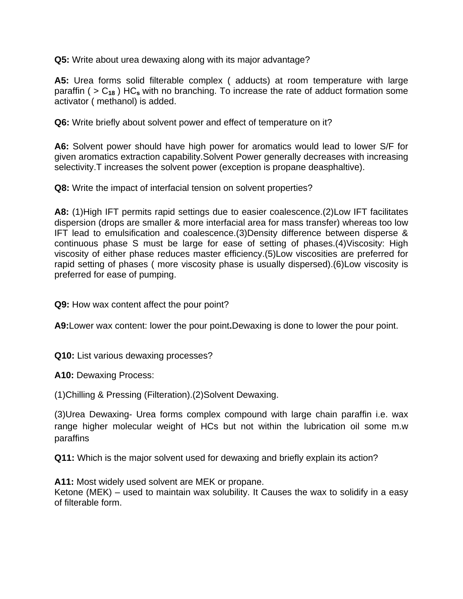**Q5:** Write about urea dewaxing along with its major advantage?

**A5:** Urea forms solid filterable complex ( adducts) at room temperature with large paraffin ( > C**18** ) HC**s** with no branching. To increase the rate of adduct formation some activator ( methanol) is added.

**Q6:** Write briefly about solvent power and effect of temperature on it?

**A6:** Solvent power should have high power for aromatics would lead to lower S/F for given aromatics extraction capability.Solvent Power generally decreases with increasing selectivity.T increases the solvent power (exception is propane deasphaltive).

**Q8:** Write the impact of interfacial tension on solvent properties?

**A8:** (1)High IFT permits rapid settings due to easier coalescence.(2)Low IFT facilitates dispersion (drops are smaller & more interfacial area for mass transfer) whereas too low IFT lead to emulsification and coalescence.(3)Density difference between disperse & continuous phase S must be large for ease of setting of phases.(4)Viscosity: High viscosity of either phase reduces master efficiency.(5)Low viscosities are preferred for rapid setting of phases ( more viscosity phase is usually dispersed).(6)Low viscosity is preferred for ease of pumping.

**Q9:** How wax content affect the pour point?

**A9:**Lower wax content: lower the pour point**.**Dewaxing is done to lower the pour point.

**Q10:** List various dewaxing processes?

**A10:** Dewaxing Process:

(1)Chilling & Pressing (Filteration).(2)Solvent Dewaxing.

(3)Urea Dewaxing- Urea forms complex compound with large chain paraffin i.e. wax range higher molecular weight of HCs but not within the lubrication oil some m.w paraffins

**Q11:** Which is the major solvent used for dewaxing and briefly explain its action?

**A11:** Most widely used solvent are MEK or propane.

Ketone (MEK) – used to maintain wax solubility. It Causes the wax to solidify in a easy of filterable form.